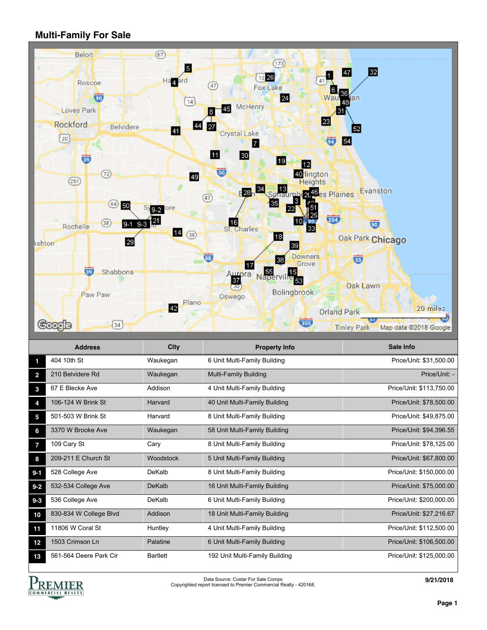## **Multi-Family For Sale**



|                | <b>Address</b>         | <b>City</b>     | <b>Property Info</b>           | Sale Info                |
|----------------|------------------------|-----------------|--------------------------------|--------------------------|
|                | 404 10th St            | Waukegan        | 6 Unit Multi-Family Building   | Price/Unit: \$31,500.00  |
| $\overline{2}$ | 210 Belvidere Rd       | Waukegan        | Multi-Family Building          | Price/Unit: -            |
| 3              | 67 E Blecke Ave        | Addison         | 4 Unit Multi-Family Building   | Price/Unit: \$113,750.00 |
| 4              | 106-124 W Brink St     | Harvard         | 40 Unit Multi-Family Building  | Price/Unit: \$78,500.00  |
| 5              | 501-503 W Brink St     | Harvard         | 8 Unit Multi-Family Building   | Price/Unit: \$49,875.00  |
| 6              | 3370 W Brooke Ave      | Waukegan        | 58 Unit Multi-Family Building  | Price/Unit: \$94,396.55  |
| 7              | 109 Cary St            | Cary            | 8 Unit Multi-Family Building   | Price/Unit: \$78,125.00  |
| 8              | 209-211 E Church St    | Woodstock       | 5 Unit Multi-Family Building   | Price/Unit: \$67,800.00  |
| $9 - 1$        | 528 College Ave        | DeKalb          | 8 Unit Multi-Family Building   | Price/Unit: \$150,000.00 |
| $9 - 2$        | 532-534 College Ave    | <b>DeKalb</b>   | 16 Unit Multi-Family Building  | Price/Unit: \$75,000.00  |
| $9 - 3$        | 536 College Ave        | DeKalb          | 6 Unit Multi-Family Building   | Price/Unit: \$200,000.00 |
| 10             | 830-834 W College Blvd | Addison         | 18 Unit Multi-Family Building  | Price/Unit: \$27,216.67  |
| 11             | 11806 W Coral St       | Huntley         | 4 Unit Multi-Family Building   | Price/Unit: \$112,500.00 |
| 12             | 1503 Crimson Ln        | Palatine        | 6 Unit Multi-Family Building   | Price/Unit: \$106,500.00 |
| 13             | 561-564 Deere Park Cir | <b>Bartlett</b> | 192 Unit Multi-Family Building | Price/Unit: \$125,000.00 |



Data Source: Costar For Sale Comps Copyrighted report licensed to Premier Commercial Realty - 420168.

**9/21/2018**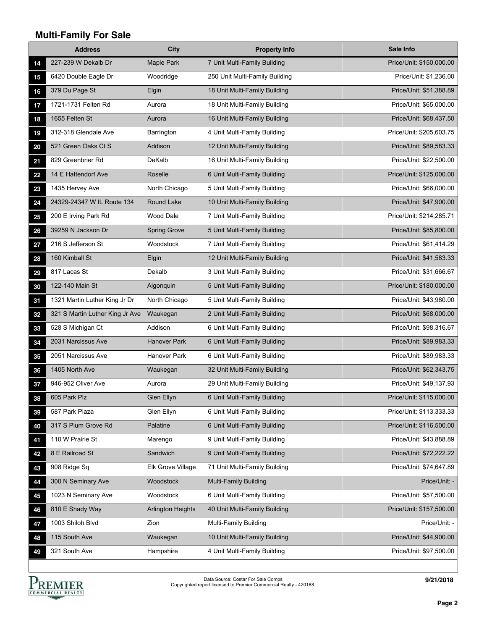## **Multi-Family For Sale**

|    | <b>Address</b>                  | <b>City</b>              | <b>Property Info</b>           | <b>Sale Info</b>         |
|----|---------------------------------|--------------------------|--------------------------------|--------------------------|
| 14 | 227-239 W Dekalb Dr             | <b>Maple Park</b>        | 7 Unit Multi-Family Building   | Price/Unit: \$150,000.00 |
| 15 | 6420 Double Eagle Dr            | Woodridge                | 250 Unit Multi-Family Building | Price/Unit: \$1,236.00   |
| 16 | 379 Du Page St                  | Elgin                    | 18 Unit Multi-Family Building  | Price/Unit: \$51,388.89  |
| 17 | 1721-1731 Felten Rd             | Aurora                   | 18 Unit Multi-Family Building  | Price/Unit: \$65,000.00  |
| 18 | 1655 Felten St                  | Aurora                   | 16 Unit Multi-Family Building  | Price/Unit: \$68,437.50  |
| 19 | 312-318 Glendale Ave            | Barrington               | 4 Unit Multi-Family Building   | Price/Unit: \$205,603.75 |
| 20 | 521 Green Oaks Ct S             | Addison                  | 12 Unit Multi-Family Building  | Price/Unit: \$89,583.33  |
| 21 | 829 Greenbrier Rd               | DeKalb                   | 16 Unit Multi-Family Building  | Price/Unit: \$22,500.00  |
| 22 | 14 E Hattendorf Ave             | Roselle                  | 6 Unit Multi-Family Building   | Price/Unit: \$125,000.00 |
| 23 | 1435 Hervey Ave                 | North Chicago            | 5 Unit Multi-Family Building   | Price/Unit: \$66,000.00  |
| 24 | 24329-24347 W IL Route 134      | Round Lake               | 10 Unit Multi-Family Building  | Price/Unit: \$47,900.00  |
| 25 | 200 E Irving Park Rd            | <b>Wood Dale</b>         | 7 Unit Multi-Family Building   | Price/Unit: \$214,285.71 |
| 26 | 39259 N Jackson Dr              | <b>Spring Grove</b>      | 5 Unit Multi-Family Building   | Price/Unit: \$85,800.00  |
| 27 | 216 S Jefferson St              | Woodstock                | 7 Unit Multi-Family Building   | Price/Unit: \$61,414.29  |
| 28 | 160 Kimball St                  | Elgin                    | 12 Unit Multi-Family Building  | Price/Unit: \$41,583.33  |
| 29 | 817 Lacas St                    | Dekalb                   | 3 Unit Multi-Family Building   | Price/Unit: \$31,666.67  |
| 30 | 122-140 Main St                 | Algonquin                | 5 Unit Multi-Family Building   | Price/Unit: \$180,000.00 |
| 31 | 1321 Martin Luther King Jr Dr   | North Chicago            | 5 Unit Multi-Family Building   | Price/Unit: \$43,980.00  |
| 32 | 321 S Martin Luther King Jr Ave | Waukegan                 | 2 Unit Multi-Family Building   | Price/Unit: \$68,000.00  |
| 33 | 528 S Michigan Ct               | Addison                  | 6 Unit Multi-Family Building   | Price/Unit: \$98,316.67  |
| 34 | 2031 Narcissus Ave              | <b>Hanover Park</b>      | 6 Unit Multi-Family Building   | Price/Unit: \$89,983.33  |
| 35 | 2051 Narcissus Ave              | <b>Hanover Park</b>      | 6 Unit Multi-Family Building   | Price/Unit: \$89,983.33  |
| 36 | 1405 North Ave                  | Waukegan                 | 32 Unit Multi-Family Building  | Price/Unit: \$62,343.75  |
| 37 | 946-952 Oliver Ave              | Aurora                   | 29 Unit Multi-Family Building  | Price/Unit: \$49,137.93  |
| 38 | 605 Park Plz                    | Glen Ellyn               | 6 Unit Multi-Family Building   | Price/Unit: \$115,000.00 |
| 39 | 587 Park Plaza                  | Glen Ellyn               | 6 Unit Multi-Family Building   | Price/Unit: \$113,333.33 |
| 40 | 317 S Plum Grove Rd             | Palatine                 | 6 Unit Multi-Family Building   | Price/Unit: \$116,500.00 |
| 41 | 110 W Prairie St                | Marengo                  | 9 Unit Multi-Family Building   | Price/Unit: \$43,888.89  |
| 42 | 8 E Railroad St                 | Sandwich                 | 9 Unit Multi-Family Building   | Price/Unit: \$72,222.22  |
| 43 | 908 Ridge Sq                    | Elk Grove Village        | 71 Unit Multi-Family Building  | Price/Unit: \$74,647.89  |
| 44 | 300 N Seminary Ave              | Woodstock                | Multi-Family Building          | Price/Unit: -            |
| 45 | 1023 N Seminary Ave             | Woodstock                | 6 Unit Multi-Family Building   | Price/Unit: \$57,500.00  |
| 46 | 810 E Shady Way                 | <b>Arlington Heights</b> | 40 Unit Multi-Family Building  | Price/Unit: \$157,500.00 |
| 47 | 1003 Shiloh Blvd                | Zion                     | Multi-Family Building          | Price/Unit: -            |
| 48 | 115 South Ave                   | Waukegan                 | 10 Unit Multi-Family Building  | Price/Unit: \$44,900.00  |
| 49 | 321 South Ave                   | Hampshire                | 4 Unit Multi-Family Building   | Price/Unit: \$97,500.00  |



**9/21/2018**